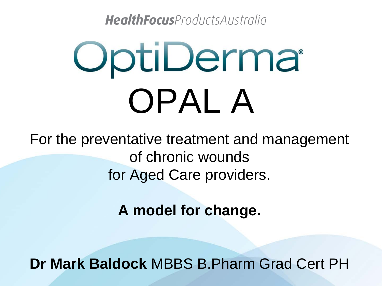HealthFocusProductsAustralia

# OptiDerma OPAL A

For the preventative treatment and management of chronic wounds for Aged Care providers.

**A model for change.**

**Dr Mark Baldock** MBBS B.Pharm Grad Cert PH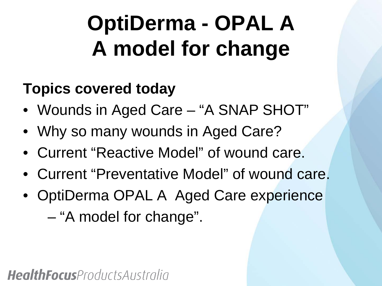### **OptiDerma - OPAL A A model for change**

#### **Topics covered today**

- Wounds in Aged Care "A SNAP SHOT"
- Why so many wounds in Aged Care?
- Current "Reactive Model" of wound care.
- Current "Preventative Model" of wound care.
- OptiDerma OPAL A Aged Care experience

– "A model for change".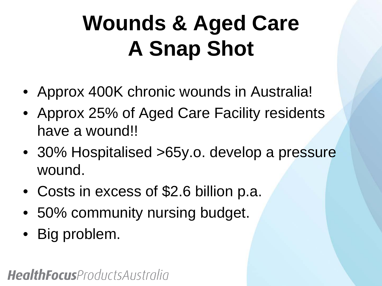### **Wounds & Aged Care A Snap Shot**

- Approx 400K chronic wounds in Australia!
- Approx 25% of Aged Care Facility residents have a wound!!
- 30% Hospitalised >65y.o. develop a pressure wound.
- Costs in excess of \$2.6 billion p.a.
- 50% community nursing budget.
- Big problem.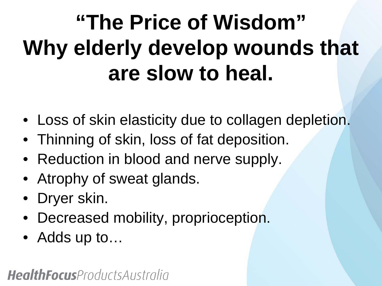### **"The Price of Wisdom" Why elderly develop wounds that are slow to heal.**

- Loss of skin elasticity due to collagen depletion.
- Thinning of skin, loss of fat deposition.
- Reduction in blood and nerve supply.
- Atrophy of sweat glands.
- Dryer skin.
- Decreased mobility, proprioception.
- Adds up to...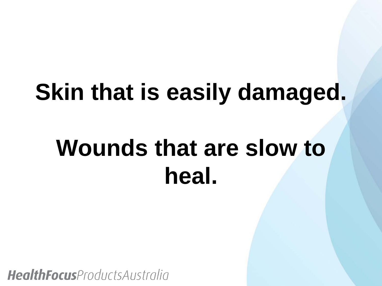### **Skin that is easily damaged.**

### **Wounds that are slow to heal.**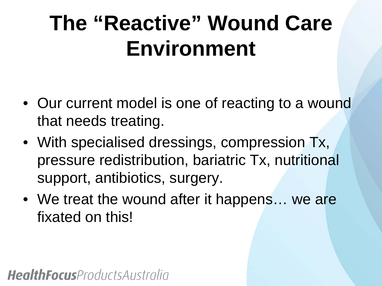### **The "Reactive" Wound Care Environment**

- Our current model is one of reacting to a wound that needs treating.
- With specialised dressings, compression Tx, pressure redistribution, bariatric Tx, nutritional support, antibiotics, surgery.
- We treat the wound after it happens... we are fixated on this!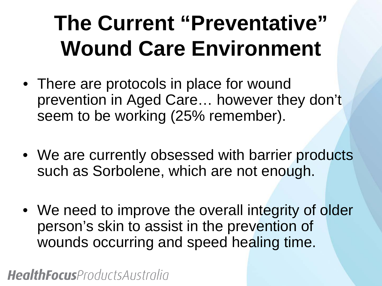### **The Current "Preventative" Wound Care Environment**

- There are protocols in place for wound prevention in Aged Care… however they don't seem to be working (25% remember).
- We are currently obsessed with barrier products such as Sorbolene, which are not enough.
- We need to improve the overall integrity of older person's skin to assist in the prevention of wounds occurring and speed healing time.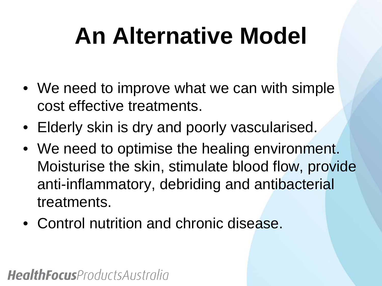### **An Alternative Model**

- We need to improve what we can with simple cost effective treatments.
- Elderly skin is dry and poorly vascularised.
- We need to optimise the healing environment. Moisturise the skin, stimulate blood flow, provide anti-inflammatory, debriding and antibacterial treatments.
- Control nutrition and chronic disease.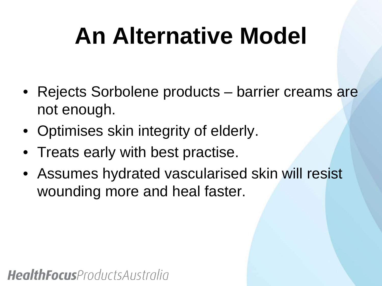### **An Alternative Model**

- Rejects Sorbolene products barrier creams are not enough.
- Optimises skin integrity of elderly.
- Treats early with best practise.
- Assumes hydrated vascularised skin will resist wounding more and heal faster.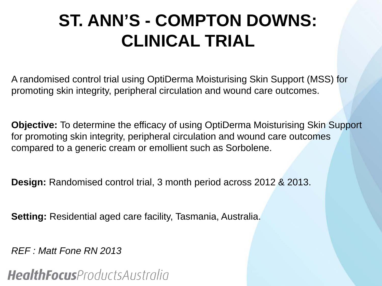### **ST. ANN'S - COMPTON DOWNS: CLINICAL TRIAL**

A randomised control trial using OptiDerma Moisturising Skin Support (MSS) for promoting skin integrity, peripheral circulation and wound care outcomes.

**Objective:** To determine the efficacy of using OptiDerma Moisturising Skin Support for promoting skin integrity, peripheral circulation and wound care outcomes compared to a generic cream or emollient such as Sorbolene.

**Design:** Randomised control trial, 3 month period across 2012 & 2013.

**Setting:** Residential aged care facility, Tasmania, Australia.

*REF : Matt Fone RN 2013*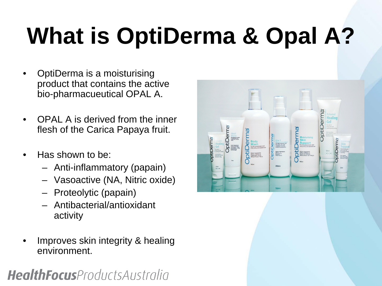# **What is OptiDerma & Opal A?**

- OptiDerma is a moisturising product that contains the active bio-pharmacueutical OPAL A.
- OPAL A is derived from the inner flesh of the Carica Papaya fruit.
- Has shown to be:
	- Anti-inflammatory (papain)
	- Vasoactive (NA, Nitric oxide)
	- Proteolytic (papain)
	- Antibacterial/antioxidant activity
- Improves skin integrity & healing environment.

|                                                                                                                                                                                                                                                                                                                                                 |                                                                                                         |                                                                                                                                                                                                                                                     |                                                                                                                                                                               | ത<br>Activated<br><b>Healing</b>                                                                                                                                                                                                                                                                                            |
|-------------------------------------------------------------------------------------------------------------------------------------------------------------------------------------------------------------------------------------------------------------------------------------------------------------------------------------------------|---------------------------------------------------------------------------------------------------------|-----------------------------------------------------------------------------------------------------------------------------------------------------------------------------------------------------------------------------------------------------|-------------------------------------------------------------------------------------------------------------------------------------------------------------------------------|-----------------------------------------------------------------------------------------------------------------------------------------------------------------------------------------------------------------------------------------------------------------------------------------------------------------------------|
| Φ<br>E<br>Heel<br>$\overline{a}$<br><b>Balm</b><br>Specially formulated<br><b>iQ</b><br>to monitorse and<br>Derm<br>hools.<br>Activated<br>bti<br><b>Healing</b><br>Active Ingredients<br>CPAL A 230mg/g<br>Shea Buffer 12mg/g<br>Cocoa Buffer 12mg/g<br>Gel<br>For use on<br>Papan 2mg/g<br>Uns 90mg/g<br>minor wounds<br>Southing and calming | <b>Body</b><br><b>Wash</b><br>For the symptomatic rate!<br>of dry itchy and sensitive sion<br>          | Ø<br>ے<br>$2$ in 1<br><b>Strange</b><br>Provides welcome relief<br>$\overline{0}$<br>from itchy, dry scalp<br>conditions including<br>dandruff and psorialis.<br>ō<br>Active ingredients:<br>OPAL A<br>Zirc Pyntions<br>Panthenol<br>Wheet Piczicin | <b>Moisturising</b><br><b>Skin</b><br>đ<br>Support<br>of dry itchy and sensitive skin<br>Active Ingredients<br>OPAL A 200mg /g<br>Mamin E 20mg /g<br>Seabuckthorn Oil 10mg /g | Gel<br>¢<br>For use on<br>O minor wounds<br>Socthing and calming<br>ť<br>Artie hypdem:<br>Carica Rapaya BTES minim<br>O<br>Farthenol 50 mg.<br>Close Bad Oil 8 W<br>Œ<br><b>Moisturis</b><br>erm<br>Skin<br>Support<br>For use on dry, it fly<br>and smatter size<br>90ml<br>Re-hydrating sooning<br>supporting<br>ACTLICAC |
| Ē<br>American<br>Casalizations<br>Finderscolough<br>Clay-Back Lingh<br>70mg<br><b>ALCO COD</b><br>25 <sub>ml</sub><br><b>AUGUSTAN</b><br><b>Mariana</b><br>$\frac{1}{2}$                                                                                                                                                                        | Active Ingredients:<br>OPAL A 201mg /g<br>Vitamin 85 1mg /g<br>Wheat Protein 1mg /g<br>460ml<br>$+6044$ | 200ml<br>200ml                                                                                                                                                                                                                                      | 460mi                                                                                                                                                                         | ii<br>Atlin Ingelsen<br>Cata Ingelsen<br>Manis I (rand Zing)<br>Senudinar (f. 1941)<br>25ml                                                                                                                                                                                                                                 |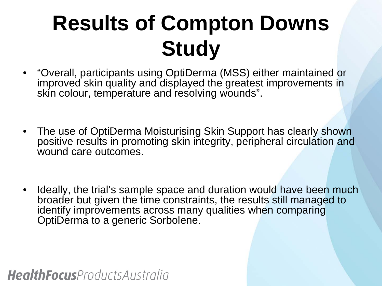### **Results of Compton Downs Study**

- "Overall, participants using OptiDerma (MSS) either maintained or improved skin quality and displayed the greatest improvements in skin colour, temperature and resolving wounds".
- The use of OptiDerma Moisturising Skin Support has clearly shown positive results in promoting skin integrity, peripheral circulation and wound care outcomes.
- Ideally, the trial's sample space and duration would have been much broader but given the time constraints, the results still managed to identify improvements across many qualities when comparing OptiDerma to a generic Sorbolene.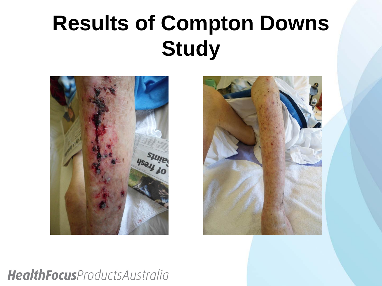### **Results of Compton Downs Study**



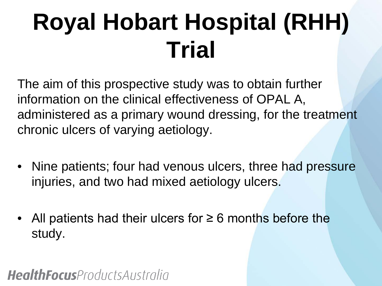## **Royal Hobart Hospital (RHH) Trial**

The aim of this prospective study was to obtain further information on the clinical effectiveness of OPAL A, administered as a primary wound dressing, for the treatment chronic ulcers of varying aetiology.

- Nine patients; four had venous ulcers, three had pressure injuries, and two had mixed aetiology ulcers.
- All patients had their ulcers for  $\geq 6$  months before the study.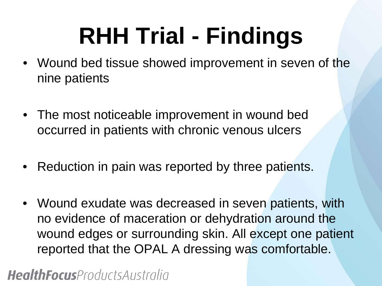### **RHH Trial - Findings**

- Wound bed tissue showed improvement in seven of the nine patients
- The most noticeable improvement in wound bed occurred in patients with chronic venous ulcers
- Reduction in pain was reported by three patients.
- Wound exudate was decreased in seven patients, with no evidence of maceration or dehydration around the wound edges or surrounding skin. All except one patient reported that the OPAL A dressing was comfortable.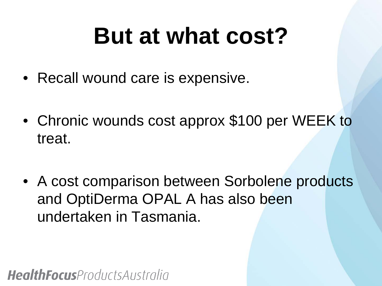### **But at what cost?**

- Recall wound care is expensive.
- Chronic wounds cost approx \$100 per WEEK to treat.
- A cost comparison between Sorbolene products and OptiDerma OPAL A has also been undertaken in Tasmania.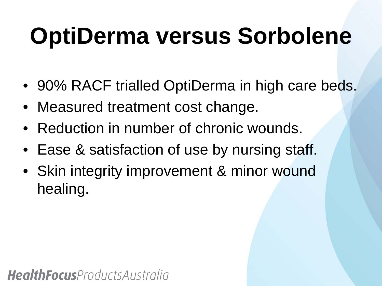### **OptiDerma versus Sorbolene**

- 90% RACF trialled OptiDerma in high care beds.
- Measured treatment cost change.
- Reduction in number of chronic wounds.
- Ease & satisfaction of use by nursing staff.
- Skin integrity improvement & minor wound healing.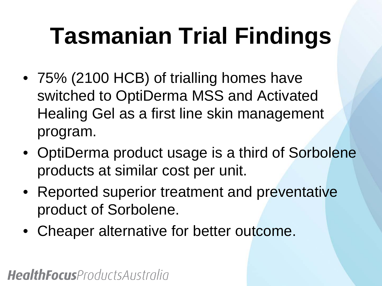## **Tasmanian Trial Findings**

- 75% (2100 HCB) of trialling homes have switched to OptiDerma MSS and Activated Healing Gel as a first line skin management program.
- OptiDerma product usage is a third of Sorbolene products at similar cost per unit.
- Reported superior treatment and preventative product of Sorbolene.
- Cheaper alternative for better outcome.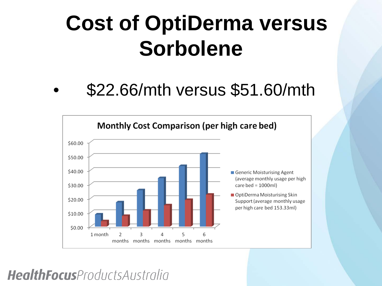### **Cost of OptiDerma versus Sorbolene**

### • \$22.66/mth versus \$51.60/mth

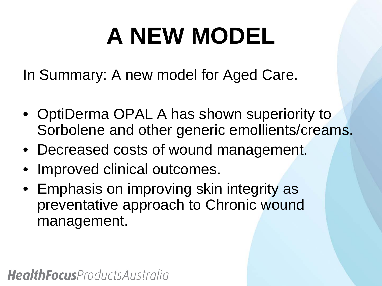## **A NEW MODEL**

In Summary: A new model for Aged Care.

- OptiDerma OPAL A has shown superiority to Sorbolene and other generic emollients/creams.
- Decreased costs of wound management.
- Improved clinical outcomes.
- Emphasis on improving skin integrity as preventative approach to Chronic wound management.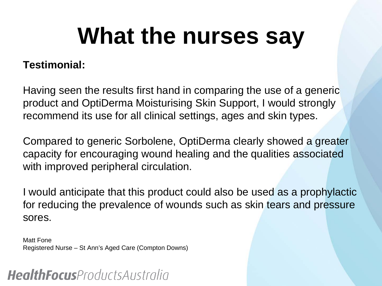### **What the nurses say**

#### **Testimonial:**

Having seen the results first hand in comparing the use of a generic product and OptiDerma Moisturising Skin Support, I would strongly recommend its use for all clinical settings, ages and skin types.

Compared to generic Sorbolene, OptiDerma clearly showed a greater capacity for encouraging wound healing and the qualities associated with improved peripheral circulation.

I would anticipate that this product could also be used as a prophylactic for reducing the prevalence of wounds such as skin tears and pressure sores.

Matt Fone Registered Nurse – St Ann's Aged Care (Compton Downs)